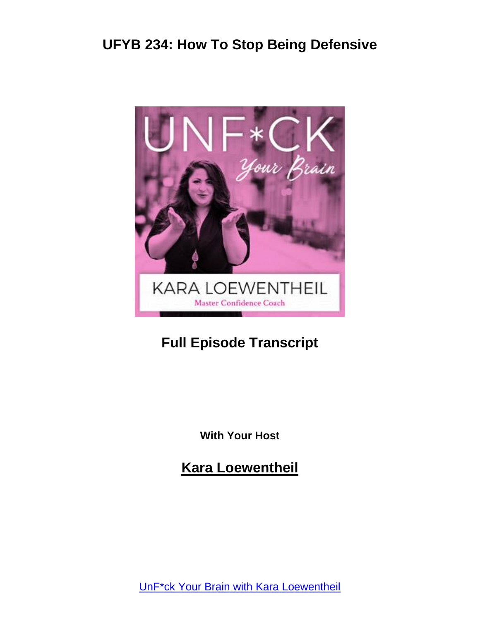

## **Full Episode Transcript**

**With Your Host**

**Kara Loewentheil**

UnF\*ck Your Brain with Kara [Loewentheil](https://unfuckyourbrain.com/podcast/)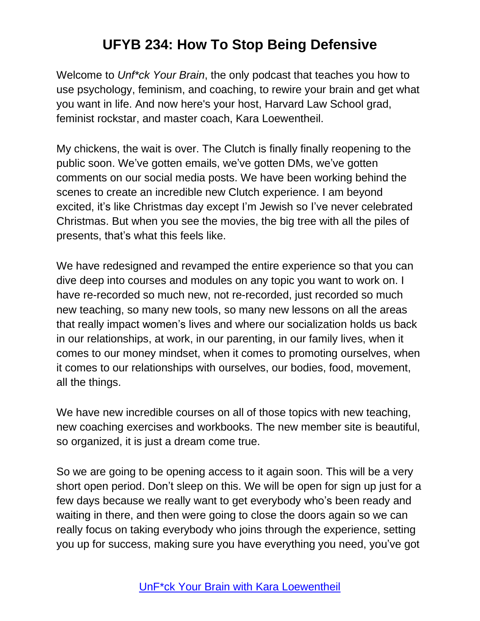Welcome to *Unf\*ck Your Brain*, the only podcast that teaches you how to use psychology, feminism, and coaching, to rewire your brain and get what you want in life. And now here's your host, Harvard Law School grad, feminist rockstar, and master coach, Kara Loewentheil.

My chickens, the wait is over. The Clutch is finally finally reopening to the public soon. We've gotten emails, we've gotten DMs, we've gotten comments on our social media posts. We have been working behind the scenes to create an incredible new Clutch experience. I am beyond excited, it's like Christmas day except I'm Jewish so I've never celebrated Christmas. But when you see the movies, the big tree with all the piles of presents, that's what this feels like.

We have redesigned and revamped the entire experience so that you can dive deep into courses and modules on any topic you want to work on. I have re-recorded so much new, not re-recorded, just recorded so much new teaching, so many new tools, so many new lessons on all the areas that really impact women's lives and where our socialization holds us back in our relationships, at work, in our parenting, in our family lives, when it comes to our money mindset, when it comes to promoting ourselves, when it comes to our relationships with ourselves, our bodies, food, movement, all the things.

We have new incredible courses on all of those topics with new teaching, new coaching exercises and workbooks. The new member site is beautiful, so organized, it is just a dream come true.

So we are going to be opening access to it again soon. This will be a very short open period. Don't sleep on this. We will be open for sign up just for a few days because we really want to get everybody who's been ready and waiting in there, and then were going to close the doors again so we can really focus on taking everybody who joins through the experience, setting you up for success, making sure you have everything you need, you've got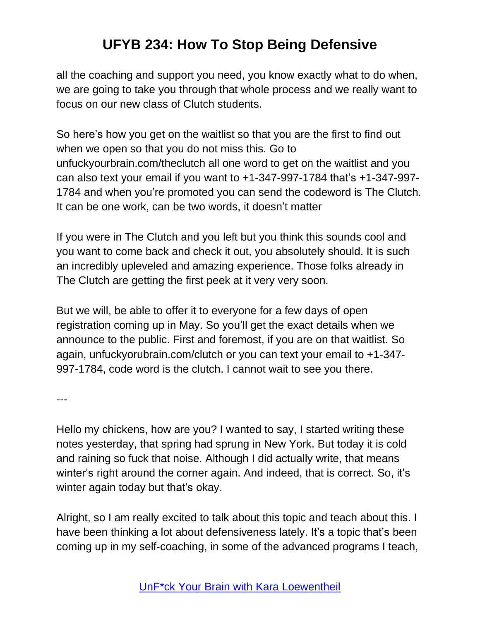all the coaching and support you need, you know exactly what to do when, we are going to take you through that whole process and we really want to focus on our new class of Clutch students.

So here's how you get on the waitlist so that you are the first to find out when we open so that you do not miss this. Go to unfuckyourbrain.com/theclutch all one word to get on the waitlist and you can also text your email if you want to +1-347-997-1784 that's +1-347-997- 1784 and when you're promoted you can send the codeword is The Clutch. It can be one work, can be two words, it doesn't matter

If you were in The Clutch and you left but you think this sounds cool and you want to come back and check it out, you absolutely should. It is such an incredibly upleveled and amazing experience. Those folks already in The Clutch are getting the first peek at it very very soon.

But we will, be able to offer it to everyone for a few days of open registration coming up in May. So you'll get the exact details when we announce to the public. First and foremost, if you are on that waitlist. So again, unfuckyorubrain.com/clutch or you can text your email to +1-347- 997-1784, code word is the clutch. I cannot wait to see you there.

---

Hello my chickens, how are you? I wanted to say, I started writing these notes yesterday, that spring had sprung in New York. But today it is cold and raining so fuck that noise. Although I did actually write, that means winter's right around the corner again. And indeed, that is correct. So, it's winter again today but that's okay.

Alright, so I am really excited to talk about this topic and teach about this. I have been thinking a lot about defensiveness lately. It's a topic that's been coming up in my self-coaching, in some of the advanced programs I teach,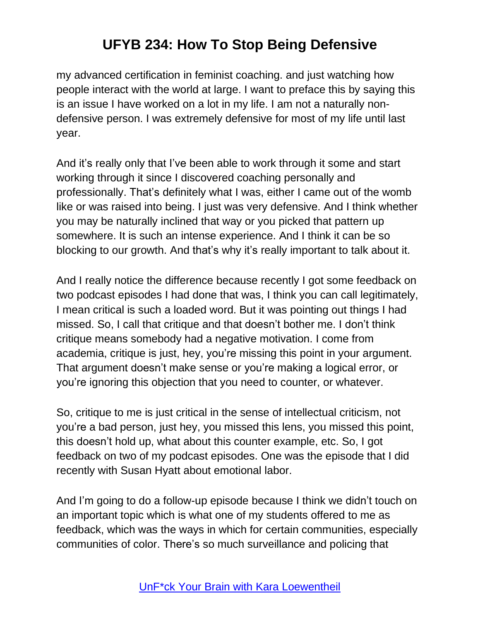my advanced certification in feminist coaching. and just watching how people interact with the world at large. I want to preface this by saying this is an issue I have worked on a lot in my life. I am not a naturally nondefensive person. I was extremely defensive for most of my life until last year.

And it's really only that I've been able to work through it some and start working through it since I discovered coaching personally and professionally. That's definitely what I was, either I came out of the womb like or was raised into being. I just was very defensive. And I think whether you may be naturally inclined that way or you picked that pattern up somewhere. It is such an intense experience. And I think it can be so blocking to our growth. And that's why it's really important to talk about it.

And I really notice the difference because recently I got some feedback on two podcast episodes I had done that was, I think you can call legitimately, I mean critical is such a loaded word. But it was pointing out things I had missed. So, I call that critique and that doesn't bother me. I don't think critique means somebody had a negative motivation. I come from academia, critique is just, hey, you're missing this point in your argument. That argument doesn't make sense or you're making a logical error, or you're ignoring this objection that you need to counter, or whatever.

So, critique to me is just critical in the sense of intellectual criticism, not you're a bad person, just hey, you missed this lens, you missed this point, this doesn't hold up, what about this counter example, etc. So, I got feedback on two of my podcast episodes. One was the episode that I did recently with Susan Hyatt about emotional labor.

And I'm going to do a follow-up episode because I think we didn't touch on an important topic which is what one of my students offered to me as feedback, which was the ways in which for certain communities, especially communities of color. There's so much surveillance and policing that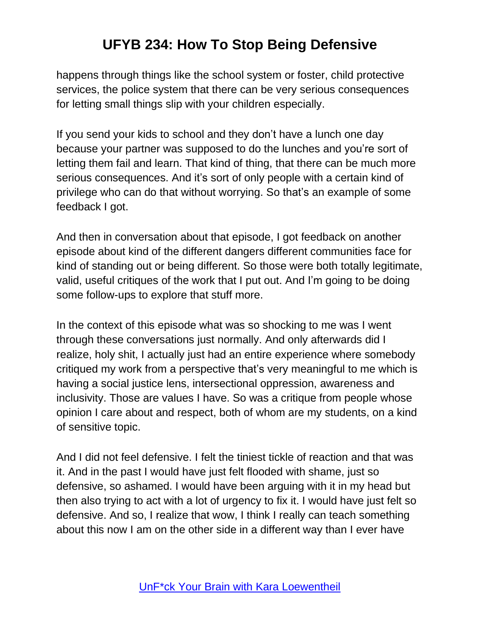happens through things like the school system or foster, child protective services, the police system that there can be very serious consequences for letting small things slip with your children especially.

If you send your kids to school and they don't have a lunch one day because your partner was supposed to do the lunches and you're sort of letting them fail and learn. That kind of thing, that there can be much more serious consequences. And it's sort of only people with a certain kind of privilege who can do that without worrying. So that's an example of some feedback I got.

And then in conversation about that episode, I got feedback on another episode about kind of the different dangers different communities face for kind of standing out or being different. So those were both totally legitimate, valid, useful critiques of the work that I put out. And I'm going to be doing some follow-ups to explore that stuff more.

In the context of this episode what was so shocking to me was I went through these conversations just normally. And only afterwards did I realize, holy shit, I actually just had an entire experience where somebody critiqued my work from a perspective that's very meaningful to me which is having a social justice lens, intersectional oppression, awareness and inclusivity. Those are values I have. So was a critique from people whose opinion I care about and respect, both of whom are my students, on a kind of sensitive topic.

And I did not feel defensive. I felt the tiniest tickle of reaction and that was it. And in the past I would have just felt flooded with shame, just so defensive, so ashamed. I would have been arguing with it in my head but then also trying to act with a lot of urgency to fix it. I would have just felt so defensive. And so, I realize that wow, I think I really can teach something about this now I am on the other side in a different way than I ever have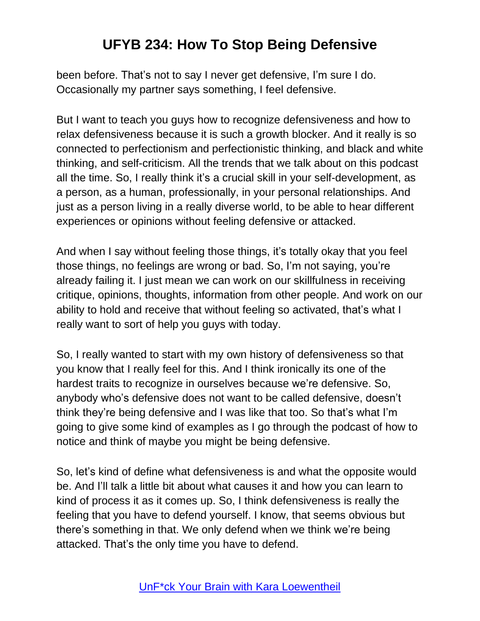been before. That's not to say I never get defensive, I'm sure I do. Occasionally my partner says something, I feel defensive.

But I want to teach you guys how to recognize defensiveness and how to relax defensiveness because it is such a growth blocker. And it really is so connected to perfectionism and perfectionistic thinking, and black and white thinking, and self-criticism. All the trends that we talk about on this podcast all the time. So, I really think it's a crucial skill in your self-development, as a person, as a human, professionally, in your personal relationships. And just as a person living in a really diverse world, to be able to hear different experiences or opinions without feeling defensive or attacked.

And when I say without feeling those things, it's totally okay that you feel those things, no feelings are wrong or bad. So, I'm not saying, you're already failing it. I just mean we can work on our skillfulness in receiving critique, opinions, thoughts, information from other people. And work on our ability to hold and receive that without feeling so activated, that's what I really want to sort of help you guys with today.

So, I really wanted to start with my own history of defensiveness so that you know that I really feel for this. And I think ironically its one of the hardest traits to recognize in ourselves because we're defensive. So, anybody who's defensive does not want to be called defensive, doesn't think they're being defensive and I was like that too. So that's what I'm going to give some kind of examples as I go through the podcast of how to notice and think of maybe you might be being defensive.

So, let's kind of define what defensiveness is and what the opposite would be. And I'll talk a little bit about what causes it and how you can learn to kind of process it as it comes up. So, I think defensiveness is really the feeling that you have to defend yourself. I know, that seems obvious but there's something in that. We only defend when we think we're being attacked. That's the only time you have to defend.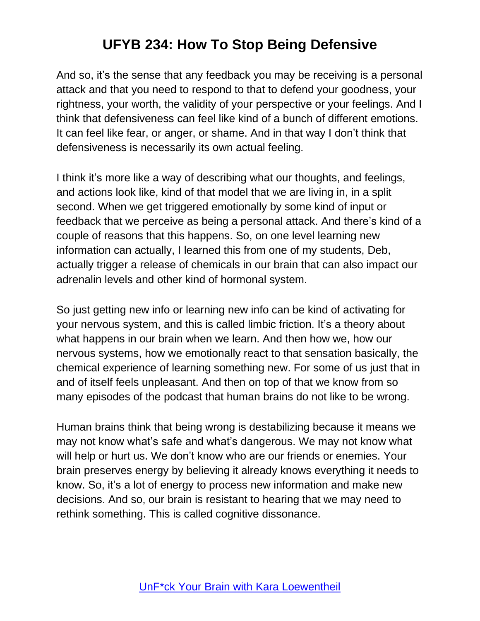And so, it's the sense that any feedback you may be receiving is a personal attack and that you need to respond to that to defend your goodness, your rightness, your worth, the validity of your perspective or your feelings. And I think that defensiveness can feel like kind of a bunch of different emotions. It can feel like fear, or anger, or shame. And in that way I don't think that defensiveness is necessarily its own actual feeling.

I think it's more like a way of describing what our thoughts, and feelings, and actions look like, kind of that model that we are living in, in a split second. When we get triggered emotionally by some kind of input or feedback that we perceive as being a personal attack. And there's kind of a couple of reasons that this happens. So, on one level learning new information can actually, I learned this from one of my students, Deb, actually trigger a release of chemicals in our brain that can also impact our adrenalin levels and other kind of hormonal system.

So just getting new info or learning new info can be kind of activating for your nervous system, and this is called limbic friction. It's a theory about what happens in our brain when we learn. And then how we, how our nervous systems, how we emotionally react to that sensation basically, the chemical experience of learning something new. For some of us just that in and of itself feels unpleasant. And then on top of that we know from so many episodes of the podcast that human brains do not like to be wrong.

Human brains think that being wrong is destabilizing because it means we may not know what's safe and what's dangerous. We may not know what will help or hurt us. We don't know who are our friends or enemies. Your brain preserves energy by believing it already knows everything it needs to know. So, it's a lot of energy to process new information and make new decisions. And so, our brain is resistant to hearing that we may need to rethink something. This is called cognitive dissonance.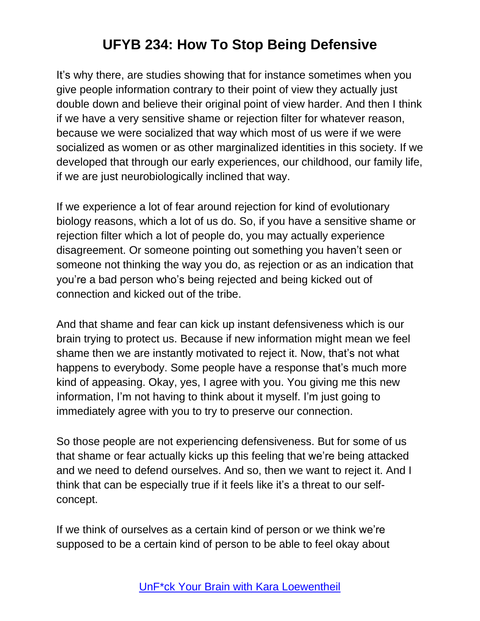It's why there, are studies showing that for instance sometimes when you give people information contrary to their point of view they actually just double down and believe their original point of view harder. And then I think if we have a very sensitive shame or rejection filter for whatever reason, because we were socialized that way which most of us were if we were socialized as women or as other marginalized identities in this society. If we developed that through our early experiences, our childhood, our family life, if we are just neurobiologically inclined that way.

If we experience a lot of fear around rejection for kind of evolutionary biology reasons, which a lot of us do. So, if you have a sensitive shame or rejection filter which a lot of people do, you may actually experience disagreement. Or someone pointing out something you haven't seen or someone not thinking the way you do, as rejection or as an indication that you're a bad person who's being rejected and being kicked out of connection and kicked out of the tribe.

And that shame and fear can kick up instant defensiveness which is our brain trying to protect us. Because if new information might mean we feel shame then we are instantly motivated to reject it. Now, that's not what happens to everybody. Some people have a response that's much more kind of appeasing. Okay, yes, I agree with you. You giving me this new information, I'm not having to think about it myself. I'm just going to immediately agree with you to try to preserve our connection.

So those people are not experiencing defensiveness. But for some of us that shame or fear actually kicks up this feeling that we're being attacked and we need to defend ourselves. And so, then we want to reject it. And I think that can be especially true if it feels like it's a threat to our selfconcept.

If we think of ourselves as a certain kind of person or we think we're supposed to be a certain kind of person to be able to feel okay about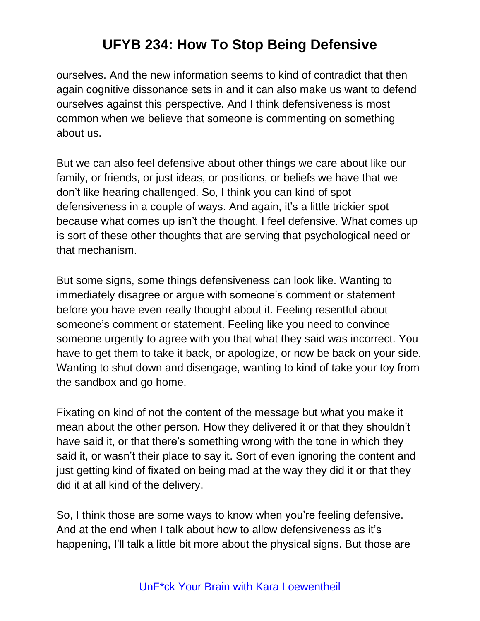ourselves. And the new information seems to kind of contradict that then again cognitive dissonance sets in and it can also make us want to defend ourselves against this perspective. And I think defensiveness is most common when we believe that someone is commenting on something about us.

But we can also feel defensive about other things we care about like our family, or friends, or just ideas, or positions, or beliefs we have that we don't like hearing challenged. So, I think you can kind of spot defensiveness in a couple of ways. And again, it's a little trickier spot because what comes up isn't the thought, I feel defensive. What comes up is sort of these other thoughts that are serving that psychological need or that mechanism.

But some signs, some things defensiveness can look like. Wanting to immediately disagree or argue with someone's comment or statement before you have even really thought about it. Feeling resentful about someone's comment or statement. Feeling like you need to convince someone urgently to agree with you that what they said was incorrect. You have to get them to take it back, or apologize, or now be back on your side. Wanting to shut down and disengage, wanting to kind of take your toy from the sandbox and go home.

Fixating on kind of not the content of the message but what you make it mean about the other person. How they delivered it or that they shouldn't have said it, or that there's something wrong with the tone in which they said it, or wasn't their place to say it. Sort of even ignoring the content and just getting kind of fixated on being mad at the way they did it or that they did it at all kind of the delivery.

So, I think those are some ways to know when you're feeling defensive. And at the end when I talk about how to allow defensiveness as it's happening, I'll talk a little bit more about the physical signs. But those are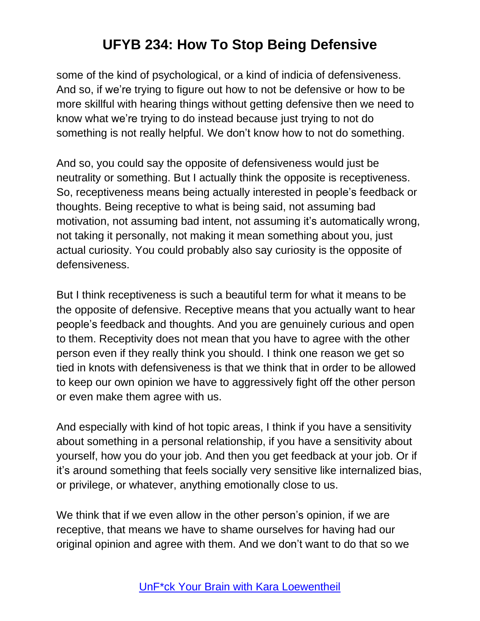some of the kind of psychological, or a kind of indicia of defensiveness. And so, if we're trying to figure out how to not be defensive or how to be more skillful with hearing things without getting defensive then we need to know what we're trying to do instead because just trying to not do something is not really helpful. We don't know how to not do something.

And so, you could say the opposite of defensiveness would just be neutrality or something. But I actually think the opposite is receptiveness. So, receptiveness means being actually interested in people's feedback or thoughts. Being receptive to what is being said, not assuming bad motivation, not assuming bad intent, not assuming it's automatically wrong, not taking it personally, not making it mean something about you, just actual curiosity. You could probably also say curiosity is the opposite of defensiveness.

But I think receptiveness is such a beautiful term for what it means to be the opposite of defensive. Receptive means that you actually want to hear people's feedback and thoughts. And you are genuinely curious and open to them. Receptivity does not mean that you have to agree with the other person even if they really think you should. I think one reason we get so tied in knots with defensiveness is that we think that in order to be allowed to keep our own opinion we have to aggressively fight off the other person or even make them agree with us.

And especially with kind of hot topic areas, I think if you have a sensitivity about something in a personal relationship, if you have a sensitivity about yourself, how you do your job. And then you get feedback at your job. Or if it's around something that feels socially very sensitive like internalized bias, or privilege, or whatever, anything emotionally close to us.

We think that if we even allow in the other person's opinion, if we are receptive, that means we have to shame ourselves for having had our original opinion and agree with them. And we don't want to do that so we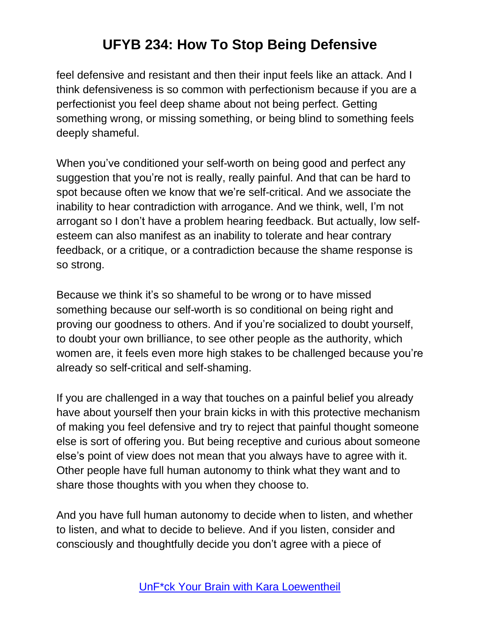feel defensive and resistant and then their input feels like an attack. And I think defensiveness is so common with perfectionism because if you are a perfectionist you feel deep shame about not being perfect. Getting something wrong, or missing something, or being blind to something feels deeply shameful.

When you've conditioned your self-worth on being good and perfect any suggestion that you're not is really, really painful. And that can be hard to spot because often we know that we're self-critical. And we associate the inability to hear contradiction with arrogance. And we think, well, I'm not arrogant so I don't have a problem hearing feedback. But actually, low selfesteem can also manifest as an inability to tolerate and hear contrary feedback, or a critique, or a contradiction because the shame response is so strong.

Because we think it's so shameful to be wrong or to have missed something because our self-worth is so conditional on being right and proving our goodness to others. And if you're socialized to doubt yourself, to doubt your own brilliance, to see other people as the authority, which women are, it feels even more high stakes to be challenged because you're already so self-critical and self-shaming.

If you are challenged in a way that touches on a painful belief you already have about yourself then your brain kicks in with this protective mechanism of making you feel defensive and try to reject that painful thought someone else is sort of offering you. But being receptive and curious about someone else's point of view does not mean that you always have to agree with it. Other people have full human autonomy to think what they want and to share those thoughts with you when they choose to.

And you have full human autonomy to decide when to listen, and whether to listen, and what to decide to believe. And if you listen, consider and consciously and thoughtfully decide you don't agree with a piece of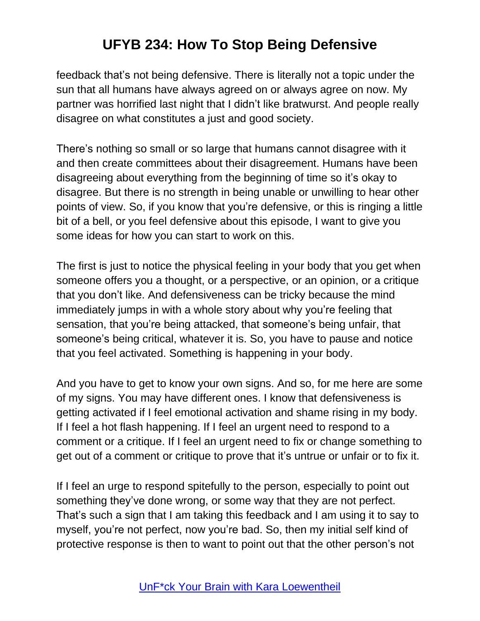feedback that's not being defensive. There is literally not a topic under the sun that all humans have always agreed on or always agree on now. My partner was horrified last night that I didn't like bratwurst. And people really disagree on what constitutes a just and good society.

There's nothing so small or so large that humans cannot disagree with it and then create committees about their disagreement. Humans have been disagreeing about everything from the beginning of time so it's okay to disagree. But there is no strength in being unable or unwilling to hear other points of view. So, if you know that you're defensive, or this is ringing a little bit of a bell, or you feel defensive about this episode, I want to give you some ideas for how you can start to work on this.

The first is just to notice the physical feeling in your body that you get when someone offers you a thought, or a perspective, or an opinion, or a critique that you don't like. And defensiveness can be tricky because the mind immediately jumps in with a whole story about why you're feeling that sensation, that you're being attacked, that someone's being unfair, that someone's being critical, whatever it is. So, you have to pause and notice that you feel activated. Something is happening in your body.

And you have to get to know your own signs. And so, for me here are some of my signs. You may have different ones. I know that defensiveness is getting activated if I feel emotional activation and shame rising in my body. If I feel a hot flash happening. If I feel an urgent need to respond to a comment or a critique. If I feel an urgent need to fix or change something to get out of a comment or critique to prove that it's untrue or unfair or to fix it.

If I feel an urge to respond spitefully to the person, especially to point out something they've done wrong, or some way that they are not perfect. That's such a sign that I am taking this feedback and I am using it to say to myself, you're not perfect, now you're bad. So, then my initial self kind of protective response is then to want to point out that the other person's not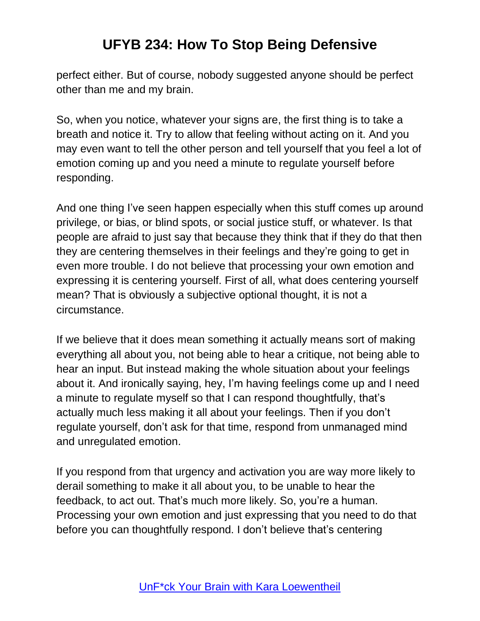perfect either. But of course, nobody suggested anyone should be perfect other than me and my brain.

So, when you notice, whatever your signs are, the first thing is to take a breath and notice it. Try to allow that feeling without acting on it. And you may even want to tell the other person and tell yourself that you feel a lot of emotion coming up and you need a minute to regulate yourself before responding.

And one thing I've seen happen especially when this stuff comes up around privilege, or bias, or blind spots, or social justice stuff, or whatever. Is that people are afraid to just say that because they think that if they do that then they are centering themselves in their feelings and they're going to get in even more trouble. I do not believe that processing your own emotion and expressing it is centering yourself. First of all, what does centering yourself mean? That is obviously a subjective optional thought, it is not a circumstance.

If we believe that it does mean something it actually means sort of making everything all about you, not being able to hear a critique, not being able to hear an input. But instead making the whole situation about your feelings about it. And ironically saying, hey, I'm having feelings come up and I need a minute to regulate myself so that I can respond thoughtfully, that's actually much less making it all about your feelings. Then if you don't regulate yourself, don't ask for that time, respond from unmanaged mind and unregulated emotion.

If you respond from that urgency and activation you are way more likely to derail something to make it all about you, to be unable to hear the feedback, to act out. That's much more likely. So, you're a human. Processing your own emotion and just expressing that you need to do that before you can thoughtfully respond. I don't believe that's centering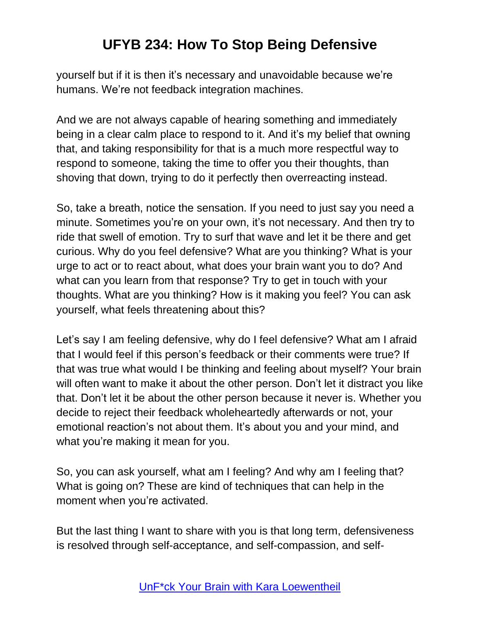yourself but if it is then it's necessary and unavoidable because we're humans. We're not feedback integration machines.

And we are not always capable of hearing something and immediately being in a clear calm place to respond to it. And it's my belief that owning that, and taking responsibility for that is a much more respectful way to respond to someone, taking the time to offer you their thoughts, than shoving that down, trying to do it perfectly then overreacting instead.

So, take a breath, notice the sensation. If you need to just say you need a minute. Sometimes you're on your own, it's not necessary. And then try to ride that swell of emotion. Try to surf that wave and let it be there and get curious. Why do you feel defensive? What are you thinking? What is your urge to act or to react about, what does your brain want you to do? And what can you learn from that response? Try to get in touch with your thoughts. What are you thinking? How is it making you feel? You can ask yourself, what feels threatening about this?

Let's say I am feeling defensive, why do I feel defensive? What am I afraid that I would feel if this person's feedback or their comments were true? If that was true what would I be thinking and feeling about myself? Your brain will often want to make it about the other person. Don't let it distract you like that. Don't let it be about the other person because it never is. Whether you decide to reject their feedback wholeheartedly afterwards or not, your emotional reaction's not about them. It's about you and your mind, and what you're making it mean for you.

So, you can ask yourself, what am I feeling? And why am I feeling that? What is going on? These are kind of techniques that can help in the moment when you're activated.

But the last thing I want to share with you is that long term, defensiveness is resolved through self-acceptance, and self-compassion, and self-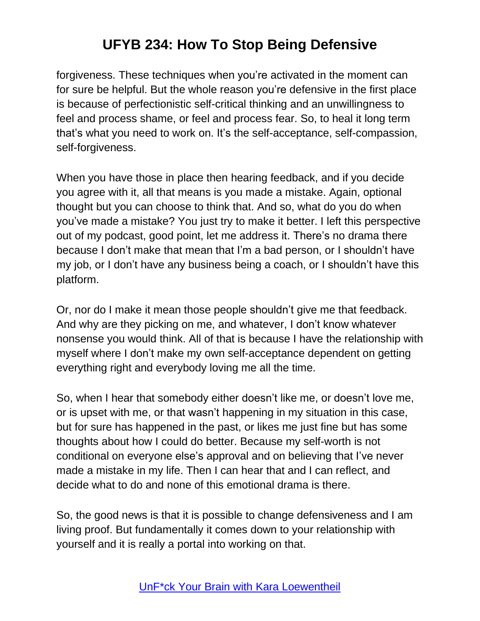forgiveness. These techniques when you're activated in the moment can for sure be helpful. But the whole reason you're defensive in the first place is because of perfectionistic self-critical thinking and an unwillingness to feel and process shame, or feel and process fear. So, to heal it long term that's what you need to work on. It's the self-acceptance, self-compassion, self-forgiveness.

When you have those in place then hearing feedback, and if you decide you agree with it, all that means is you made a mistake. Again, optional thought but you can choose to think that. And so, what do you do when you've made a mistake? You just try to make it better. I left this perspective out of my podcast, good point, let me address it. There's no drama there because I don't make that mean that I'm a bad person, or I shouldn't have my job, or I don't have any business being a coach, or I shouldn't have this platform.

Or, nor do I make it mean those people shouldn't give me that feedback. And why are they picking on me, and whatever, I don't know whatever nonsense you would think. All of that is because I have the relationship with myself where I don't make my own self-acceptance dependent on getting everything right and everybody loving me all the time.

So, when I hear that somebody either doesn't like me, or doesn't love me, or is upset with me, or that wasn't happening in my situation in this case, but for sure has happened in the past, or likes me just fine but has some thoughts about how I could do better. Because my self-worth is not conditional on everyone else's approval and on believing that I've never made a mistake in my life. Then I can hear that and I can reflect, and decide what to do and none of this emotional drama is there.

So, the good news is that it is possible to change defensiveness and I am living proof. But fundamentally it comes down to your relationship with yourself and it is really a portal into working on that.